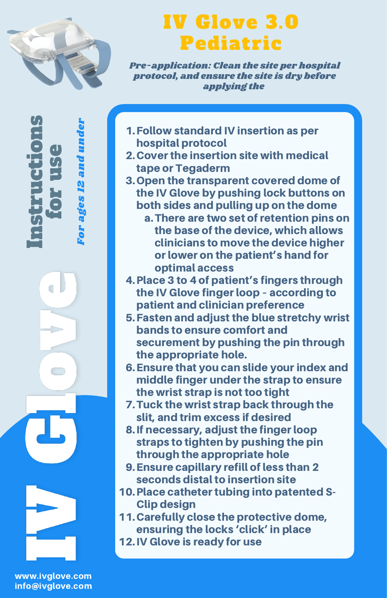

 $\mathbf{e}$  . rE)  $\bm{U}_t$ e

Fo r a ge s. - 1 N a n dun der

In $\bm{U}_t$ trE, c

Ċ

tio

n $\bm{U}_t$ 

## IV Glove 3.0 Pediatric

Pre-application: Clean the site per hospital protocol, and ensure the site is dry before applying the

- Follow standard IV insertion as per 1. hospital protocol
- 2. Cover the insertion site with medical tape or Tegaderm
- 3. Open the transparent covered dome of the IV Glove by pushing lock buttons on both sides and pulling up on the dome
	- There are two set of retention pins on a. the base of the device, which allows clinicians to move the device higher or lower on the patient's hand for optimal access
- 4. Place 3 to 4 of patient's fingers through the IV Glove finger loop – according to patient and clinician preference
- Fasten and adjust the blue stretchy wrist 5. bands to ensure comfort and securement by pushing the pin through the appropriate hole.
- Ensure that you can slide your index and 6. middle finger under the strap to ensure the wrist strap is not too tight
- 7. Tuck the wrist strap back through the slit, and trim excess if desired
- 8. If necessary, adiust the finger loop straps to tighten by pushing the pin through the appropriate hole
- Ensure capillary refill of less than 2 9. seconds distal to insertion site
- 10. Place catheter tubing into patented S-Clip design
- 11. Carefully close the protective dome, ensuring the locks 'click' in place
- 12. IV Glove is ready for use

www.ivglove.com info@ivglove.com